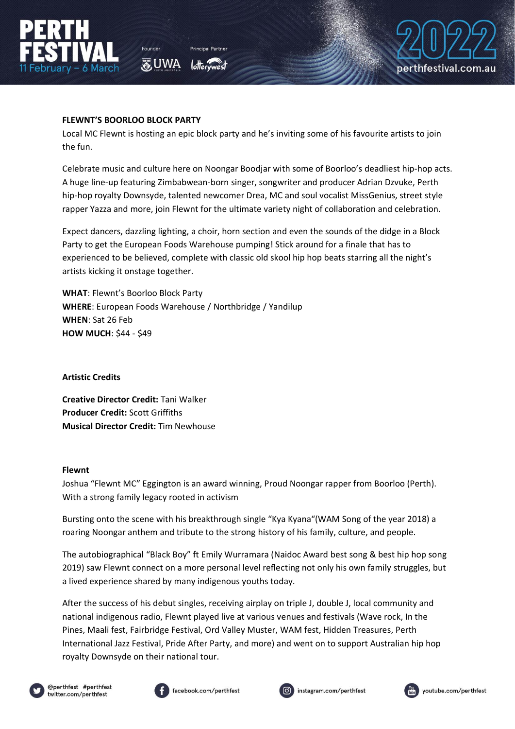



## **FLEWNT'S BOORLOO BLOCK PARTY**

**あUWA** 

Local MC Flewnt is hosting an epic block party and he's inviting some of his favourite artists to join the fun.

Celebrate music and culture here on Noongar Boodjar with some of Boorloo's deadliest hip-hop acts. A huge line-up featuring Zimbabwean-born singer, songwriter and producer Adrian Dzvuke, Perth hip-hop royalty Downsyde, talented newcomer Drea, MC and soul vocalist MissGenius, street style rapper Yazza and more, join Flewnt for the ultimate variety night of collaboration and celebration.

Expect dancers, dazzling lighting, a choir, horn section and even the sounds of the didge in a Block Party to get the European Foods Warehouse pumping! Stick around for a finale that has to experienced to be believed, complete with classic old skool hip hop beats starring all the night's artists kicking it onstage together.

**WHAT**: Flewnt's Boorloo Block Party **WHERE**: European Foods Warehouse / Northbridge / Yandilup **WHEN**: Sat 26 Feb **HOW MUCH**: \$44 - \$49

#### **Artistic Credits**

**Creative Director Credit:** Tani Walker **Producer Credit:** Scott Griffiths **Musical Director Credit:** Tim Newhouse

#### **Flewnt**

Joshua "Flewnt MC" Eggington is an award winning, Proud Noongar rapper from Boorloo (Perth). With a strong family legacy rooted in activism

Bursting onto the scene with his breakthrough single "Kya Kyana"(WAM Song of the year 2018) a roaring Noongar anthem and tribute to the strong history of his family, culture, and people.

The autobiographical "Black Boy" ft Emily Wurramara (Naidoc Award best song & best hip hop song 2019) saw Flewnt connect on a more personal level reflecting not only his own family struggles, but a lived experience shared by many indigenous youths today.

After the success of his debut singles, receiving airplay on triple J, double J, local community and national indigenous radio, Flewnt played live at various venues and festivals (Wave rock, In the Pines, Maali fest, Fairbridge Festival, Ord Valley Muster, WAM fest, Hidden Treasures, Perth International Jazz Festival, Pride After Party, and more) and went on to support Australian hip hop royalty Downsyde on their national tour.







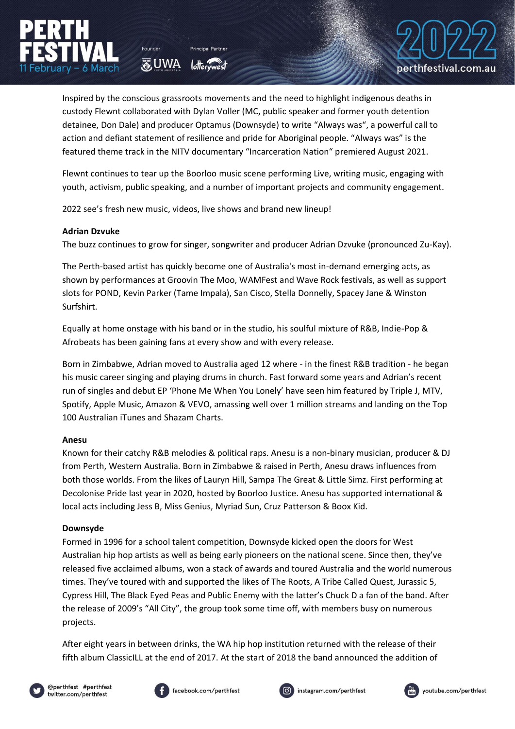Inspired by the conscious grassroots movements and the need to highlight indigenous deaths in custody Flewnt collaborated with Dylan Voller (MC, public speaker and former youth detention detainee, Don Dale) and producer Optamus (Downsyde) to write "Always was", a powerful call to action and defiant statement of resilience and pride for Aboriginal people. "Always was" is the featured theme track in the NITV documentary "Incarceration Nation" premiered August 2021.

Flewnt continues to tear up the Boorloo music scene performing Live, writing music, engaging with youth, activism, public speaking, and a number of important projects and community engagement.

2022 see's fresh new music, videos, live shows and brand new lineup!

**O**UWA

### **Adrian Dzvuke**

The buzz continues to grow for singer, songwriter and producer Adrian Dzvuke (pronounced Zu-Kay).

The Perth-based artist has quickly become one of Australia's most in-demand emerging acts, as shown by performances at Groovin The Moo, WAMFest and Wave Rock festivals, as well as support slots for POND, Kevin Parker (Tame Impala), San Cisco, Stella Donnelly, Spacey Jane & Winston Surfshirt.

Equally at home onstage with his band or in the studio, his soulful mixture of R&B, Indie-Pop & Afrobeats has been gaining fans at every show and with every release.

Born in Zimbabwe, Adrian moved to Australia aged 12 where - in the finest R&B tradition - he began his music career singing and playing drums in church. Fast forward some years and Adrian's recent run of singles and debut EP 'Phone Me When You Lonely' have seen him featured by Triple J, MTV, Spotify, Apple Music, Amazon & VEVO, amassing well over 1 million streams and landing on the Top 100 Australian iTunes and Shazam Charts.

# **Anesu**

Known for their catchy R&B melodies & political raps. Anesu is a non-binary musician, producer & DJ from Perth, Western Australia. Born in Zimbabwe & raised in Perth, Anesu draws influences from both those worlds. From the likes of Lauryn Hill, Sampa The Great & Little Simz. First performing at Decolonise Pride last year in 2020, hosted by Boorloo Justice. Anesu has supported international & local acts including Jess B, Miss Genius, Myriad Sun, Cruz Patterson & Boox Kid.

### **Downsyde**

Formed in 1996 for a school talent competition, Downsyde kicked open the doors for West Australian hip hop artists as well as being early pioneers on the national scene. Since then, they've released five acclaimed albums, won a stack of awards and toured Australia and the world numerous times. They've toured with and supported the likes of The Roots, A Tribe Called Quest, Jurassic 5, Cypress Hill, The Black Eyed Peas and Public Enemy with the latter's Chuck D a fan of the band. After the release of 2009's "All City", the group took some time off, with members busy on numerous projects.

After eight years in between drinks, the WA hip hop institution returned with the release of their fifth album ClassicILL at the end of 2017. At the start of 2018 the band announced the addition of









perthfestival.com.au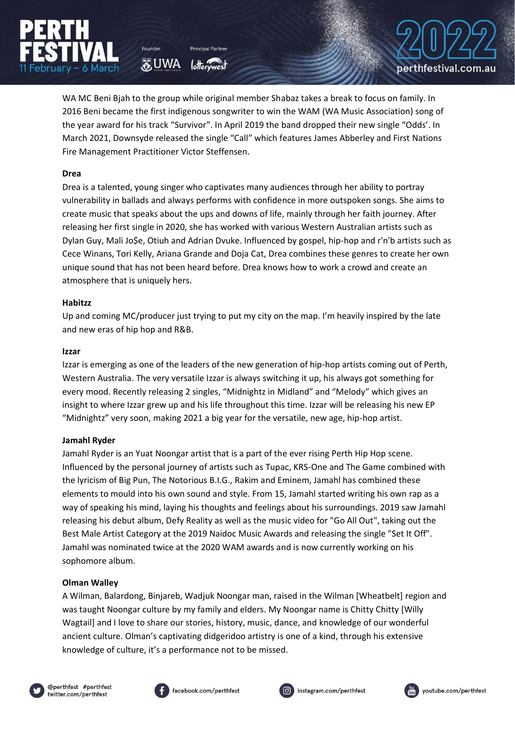WA MC Beni Bjah to the group while original member Shabaz takes a break to focus on family. In 2016 Beni became the first indigenous songwriter to win the WAM (WA Music Association) song of the year award for his track "Survivor". In April 2019 the band dropped their new single "Odds'. In March 2021, Downsyde released the single "Call" which features James Abberley and First Nations Fire Management Practitioner Victor Steffensen.

**O**UWA

## **Drea**

Drea is a talented, young singer who captivates many audiences through her ability to portray vulnerability in ballads and always performs with confidence in more outspoken songs. She aims to create music that speaks about the ups and downs of life, mainly through her faith journey. After releasing her first single in 2020, she has worked with various Western Australian artists such as Dylan Guy, Mali Jo\$e, Otiuh and Adrian Dvuke. Influenced by gospel, hip-hop and r'n'b artists such as Cece Winans, Tori Kelly, Ariana Grande and Doja Cat, Drea combines these genres to create her own unique sound that has not been heard before. Drea knows how to work a crowd and create an atmosphere that is uniquely hers.

## **Habitzz**

Up and coming MC/producer just trying to put my city on the map. I'm heavily inspired by the late and new eras of hip hop and R&B.

### **Izzar**

Izzar is emerging as one of the leaders of the new generation of hip-hop artists coming out of Perth, Western Australia. The very versatile Izzar is always switching it up, his always got something for every mood. Recently releasing 2 singles, "Midnightz in Midland" and "Melody" which gives an insight to where Izzar grew up and his life throughout this time. Izzar will be releasing his new EP "Midnightz" very soon, making 2021 a big year for the versatile, new age, hip-hop artist.

### **Jamahl Ryder**

Jamahl Ryder is an Yuat Noongar artist that is a part of the ever rising Perth Hip Hop scene. Influenced by the personal journey of artists such as Tupac, KRS-One and The Game combined with the lyricism of Big Pun, The Notorious B.I.G., Rakim and Eminem, Jamahl has combined these elements to mould into his own sound and style. From 15, Jamahl started writing his own rap as a way of speaking his mind, laying his thoughts and feelings about his surroundings. 2019 saw Jamahl releasing his debut album, Defy Reality as well as the music video for "Go All Out", taking out the Best Male Artist Category at the 2019 Naidoc Music Awards and releasing the single "Set It Off". Jamahl was nominated twice at the 2020 WAM awards and is now currently working on his sophomore album.

### **Olman Walley**

A Wilman, Balardong, Binjareb, Wadjuk Noongar man, raised in the Wilman [Wheatbelt] region and was taught Noongar culture by my family and elders. My Noongar name is Chitty Chitty [Willy Wagtail] and I love to share our stories, history, music, dance, and knowledge of our wonderful ancient culture. Olman's captivating didgeridoo artistry is one of a kind, through his extensive knowledge of culture, it's a performance not to be missed.











perthfestival.com.au